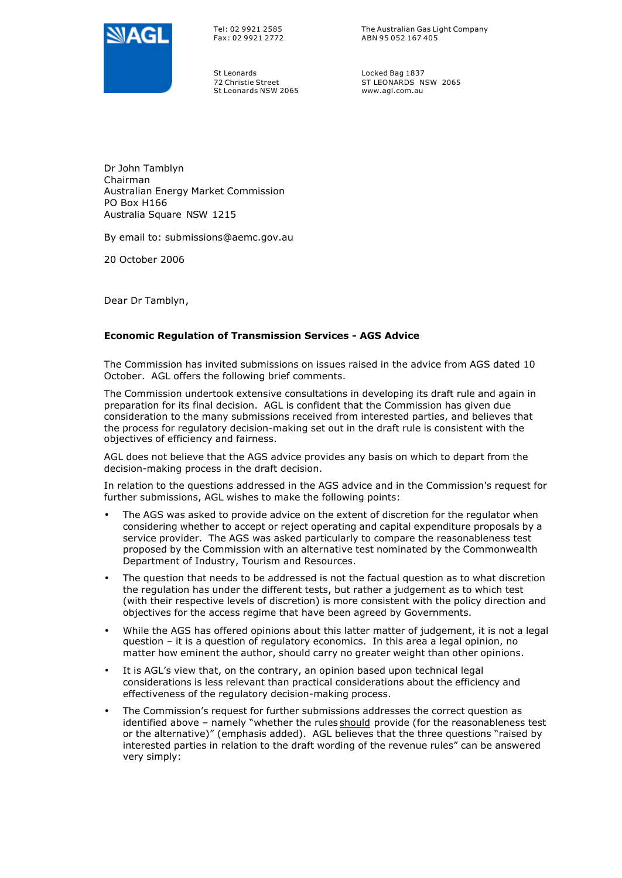

Tel: 02 9921 2585 Fax: 02 9921 2772 The Australian Gas Light Company ABN 95 052 167 405

St Leonards 72 Christie Street St Leonards NSW 2065 Locked Bag 1837 ST LEONARDS NSW 2065 www.agl.com.au

Dr John Tamblyn Chairman Australian Energy Market Commission PO Box H166 Australia Square NSW 1215

By email to: submissions@aemc.gov.au

20 October 2006

Dear Dr Tamblyn,

## **Economic Regulation of Transmission Services - AGS Advice**

The Commission has invited submissions on issues raised in the advice from AGS dated 10 October. AGL offers the following brief comments.

The Commission undertook extensive consultations in developing its draft rule and again in preparation for its final decision. AGL is confident that the Commission has given due consideration to the many submissions received from interested parties, and believes that the process for regulatory decision-making set out in the draft rule is consistent with the objectives of efficiency and fairness.

AGL does not believe that the AGS advice provides any basis on which to depart from the decision-making process in the draft decision.

In relation to the questions addressed in the AGS advice and in the Commission's request for further submissions, AGL wishes to make the following points:

- The AGS was asked to provide advice on the extent of discretion for the regulator when considering whether to accept or reject operating and capital expenditure proposals by a service provider. The AGS was asked particularly to compare the reasonableness test proposed by the Commission with an alternative test nominated by the Commonwealth Department of Industry, Tourism and Resources.
- The question that needs to be addressed is not the factual question as to what discretion the regulation has under the different tests, but rather a judgement as to which test (with their respective levels of discretion) is more consistent with the policy direction and objectives for the access regime that have been agreed by Governments.
- While the AGS has offered opinions about this latter matter of judgement, it is not a legal question – it is a question of regulatory economics. In this area a legal opinion, no matter how eminent the author, should carry no greater weight than other opinions.
- It is AGL's view that, on the contrary, an opinion based upon technical legal considerations is less relevant than practical considerations about the efficiency and effectiveness of the regulatory decision-making process.
- The Commission's request for further submissions addresses the correct question as identified above - namely "whether the rules should provide (for the reasonableness test or the alternative)" (emphasis added). AGL believes that the three questions "raised by interested parties in relation to the draft wording of the revenue rules" can be answered very simply: